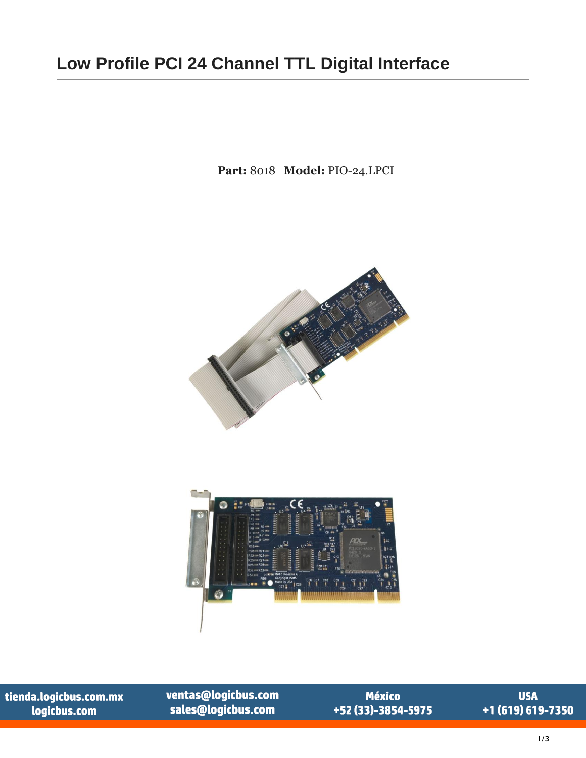## **Low Profile PCI 24 Channel TTL Digital Interface**

**Part:** 8018 **Model:** PIO-24.LPCI



tienda.logicbus.com.mx logicbus.com

ventas@logicbus.com sales@logicbus.com

 $\bullet$ 

**México** +52 (33)-3854-5975

**USA** +1 (619) 619-7350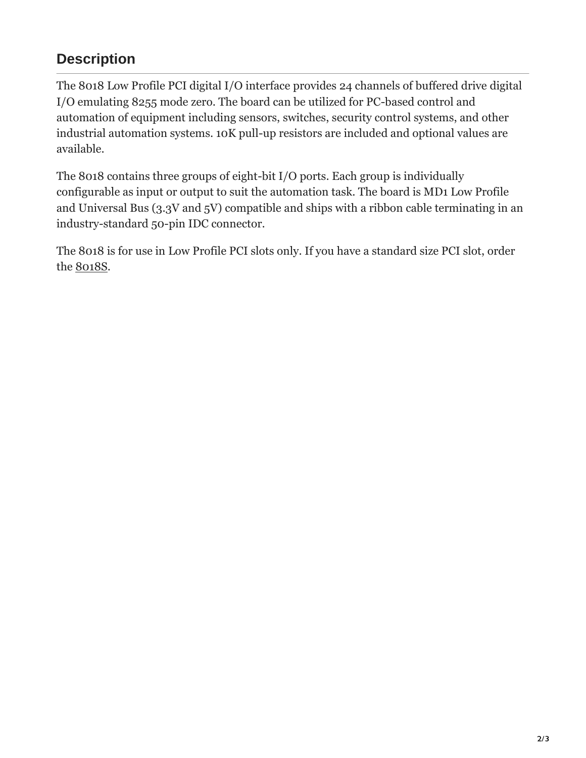## **Description**

The 8018 Low Profile PCI digital I/O interface provides 24 channels of buffered drive digital I/O emulating 8255 mode zero. The board can be utilized for PC-based control and automation of equipment including sensors, switches, security control systems, and other industrial automation systems. 10K pull-up resistors are included and optional values are available.

The 8018 contains three groups of eight-bit I/O ports. Each group is individually configurable as input or output to suit the automation task. The board is MD1 Low Profile and Universal Bus (3.3V and 5V) compatible and ships with a ribbon cable terminating in an industry-standard 50-pin IDC connector.

The 8018 is for use in Low Profile PCI slots only. If you have a standard size PCI slot, order the [8018S.](https://www.sealevel.com/product/8018s-pci-24-channel-ttl-digital-interface/)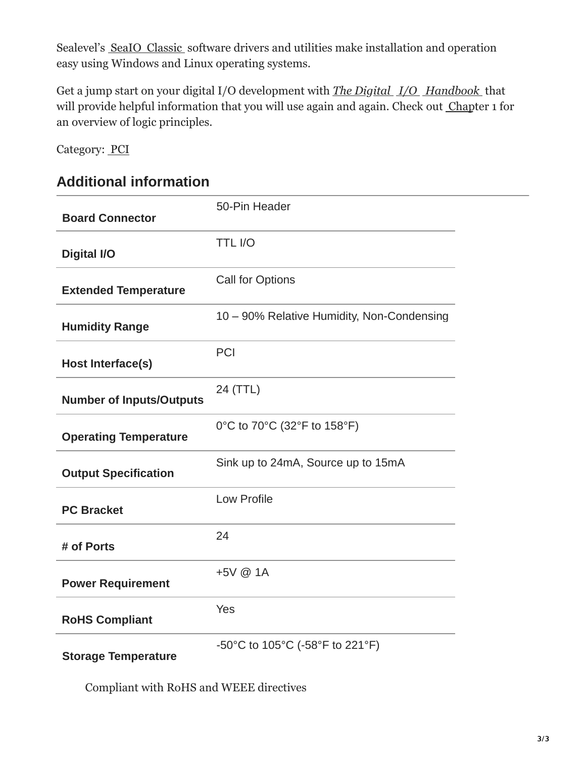Sealevel's SeaIO [Classic s](https://www.sealevel.com/support/software-seaio-classic-v5-windows/)oftware drivers and utilities make installation and operation easy using Windows and Linux operating systems.

Get a jump start on your digital I/O development with *[The Digital I/O Handbook](https://www.sealevel.com/product/ref101-the-digital-i-o-handbook-a-practical-guide-to-industrial-input-and-output-applications/)* that will provide helpful information that you will use again and again. Check out [Chapter](https://www.sealevel.com/support/the-digital-io-handbook-chapter-1/) 1 for an overview of logic principles.

Category: [PCI](https://www.sealevel.com/product-category/digital-analog-i-o/pci/)

## **Additional information**

| <b>Board Connector</b>          | 50-Pin Header                              |
|---------------------------------|--------------------------------------------|
| <b>Digital I/O</b>              | <b>TTL I/O</b>                             |
| <b>Extended Temperature</b>     | <b>Call for Options</b>                    |
| <b>Humidity Range</b>           | 10 - 90% Relative Humidity, Non-Condensing |
| Host Interface(s)               | PCI                                        |
| <b>Number of Inputs/Outputs</b> | 24 (TTL)                                   |
| <b>Operating Temperature</b>    | 0°C to 70°C (32°F to 158°F)                |
| <b>Output Specification</b>     | Sink up to 24mA, Source up to 15mA         |
| <b>PC Bracket</b>               | <b>Low Profile</b>                         |
| # of Ports                      | 24                                         |
| <b>Power Requirement</b>        | +5V @ 1A                                   |
| <b>RoHS Compliant</b>           | Yes                                        |
| <b>Storage Temperature</b>      | -50°C to 105°C (-58°F to 221°F)            |

Compliant with RoHS and WEEE directives